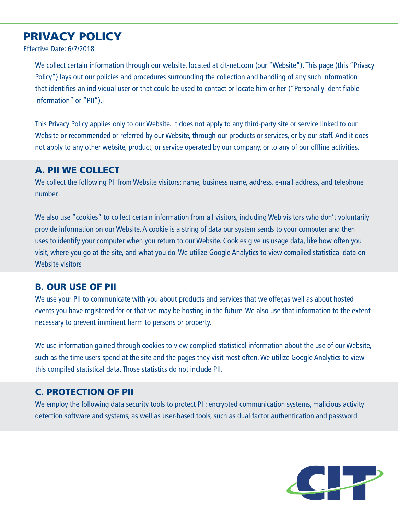# PRIVACY POLICY

Effective Date: 6/7/2018

We collect certain information through our website, located at cit-net.com (our "Website"). This page (this "Privacy Policy") lays out our policies and procedures surrounding the collection and handling of any such information that identifies an individual user or that could be used to contact or locate him or her ("Personally Identifiable Information" or "PII").

This Privacy Policy applies only to our Website. It does not apply to any third-party site or service linked to our Website or recommended or referred by our Website, through our products or services, or by our staff. And it does not apply to any other website, product, or service operated by our company, or to any of our offline activities.

## A. PII WE COLLECT

We collect the following PII from Website visitors: name, business name, address, e-mail address, and telephone number.

We also use "cookies" to collect certain information from all visitors, including Web visitors who don't voluntarily provide information on our Website. A cookie is a string of data our system sends to your computer and then uses to identify your computer when you return to our Website. Cookies give us usage data, like how often you visit, where you go at the site, and what you do. We utilize Google Analytics to view compiled statistical data on Website visitors

## B. OUR USE OF PII

We use your PII to communicate with you about products and services that we offer,as well as about hosted events you have registered for or that we may be hosting in the future. We also use that information to the extent necessary to prevent imminent harm to persons or property.

We use information gained through cookies to view complied statistical information about the use of our Website, such as the time users spend at the site and the pages they visit most often. We utilize Google Analytics to view this compiled statistical data. Those statistics do not include PII.

## C. PROTECTION OF PII

We employ the following data security tools to protect PII: encrypted communication systems, malicious activity detection software and systems, as well as user-based tools, such as dual factor authentication and password